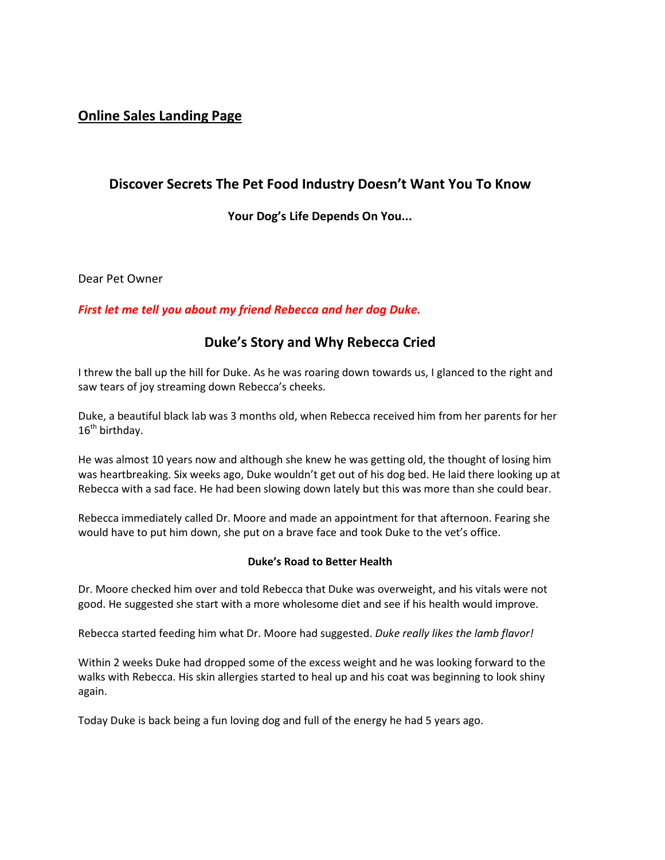# **Online Sales Landing Page**

## **Discover Secrets The Pet Food Industry Doesn't Want You To Know**

**Your Dog's Life Depends On You...** 

Dear Pet Owner

### *First let me tell you about my friend Rebecca and her dog Duke.*

# **Duke's Story and Why Rebecca Cried**

I threw the ball up the hill for Duke. As he was roaring down towards us, I glanced to the right and saw tears of joy streaming down Rebecca's cheeks.

Duke, a beautiful black lab was 3 months old, when Rebecca received him from her parents for her  $16<sup>th</sup>$  birthday.

He was almost 10 years now and although she knew he was getting old, the thought of losing him was heartbreaking. Six weeks ago, Duke wouldn't get out of his dog bed. He laid there looking up at Rebecca with a sad face. He had been slowing down lately but this was more than she could bear.

Rebecca immediately called Dr. Moore and made an appointment for that afternoon. Fearing she would have to put him down, she put on a brave face and took Duke to the vet's office.

#### **Duke's Road to Better Health**

Dr. Moore checked him over and told Rebecca that Duke was overweight, and his vitals were not good. He suggested she start with a more wholesome diet and see if his health would improve.

Rebecca started feeding him what Dr. Moore had suggested. *Duke really likes the lamb flavor!*

Within 2 weeks Duke had dropped some of the excess weight and he was looking forward to the walks with Rebecca. His skin allergies started to heal up and his coat was beginning to look shiny again.

Today Duke is back being a fun loving dog and full of the energy he had 5 years ago.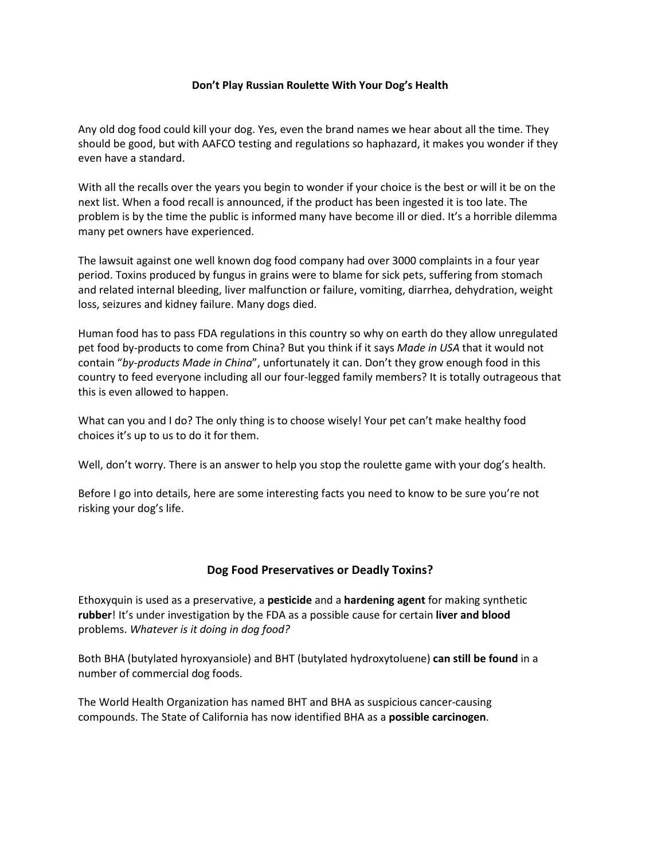#### **Don't Play Russian Roulette With Your Dog's Health**

Any old dog food could kill your dog. Yes, even the brand names we hear about all the time. They should be good, but with AAFCO testing and regulations so haphazard, it makes you wonder if they even have a standard.

With all the recalls over the years you begin to wonder if your choice is the best or will it be on the next list. When a food recall is announced, if the product has been ingested it is too late. The problem is by the time the public is informed many have become ill or died. It's a horrible dilemma many pet owners have experienced.

The lawsuit against one well known dog food company had over 3000 complaints in a four year period. Toxins produced by fungus in grains were to blame for sick pets, suffering from stomach and related internal bleeding, liver malfunction or failure, vomiting, diarrhea, dehydration, weight loss, seizures and kidney failure. Many dogs died.

Human food has to pass FDA regulations in this country so why on earth do they allow unregulated pet food by-products to come from China? But you think if it says *Made in USA* that it would not contain "*by-products Made in China*", unfortunately it can. Don't they grow enough food in this country to feed everyone including all our four-legged family members? It is totally outrageous that this is even allowed to happen.

What can you and I do? The only thing is to choose wisely! Your pet can't make healthy food choices it's up to us to do it for them.

Well, don't worry. There is an answer to help you stop the roulette game with your dog's health.

Before I go into details, here are some interesting facts you need to know to be sure you're not risking your dog's life.

#### **Dog Food Preservatives or Deadly Toxins?**

Ethoxyquin is used as a preservative, a **pesticide** and a **hardening agent** for making synthetic **rubber**! It's under investigation by the FDA as a possible cause for certain **liver and blood** problems. *Whatever is it doing in dog food?*

Both BHA (butylated hyroxyansiole) and BHT (butylated hydroxytoluene) **can still be found** in a number of commercial dog foods.

The World Health Organization has named BHT and BHA as suspicious cancer-causing compounds. The State of California has now identified BHA as a **possible carcinogen**.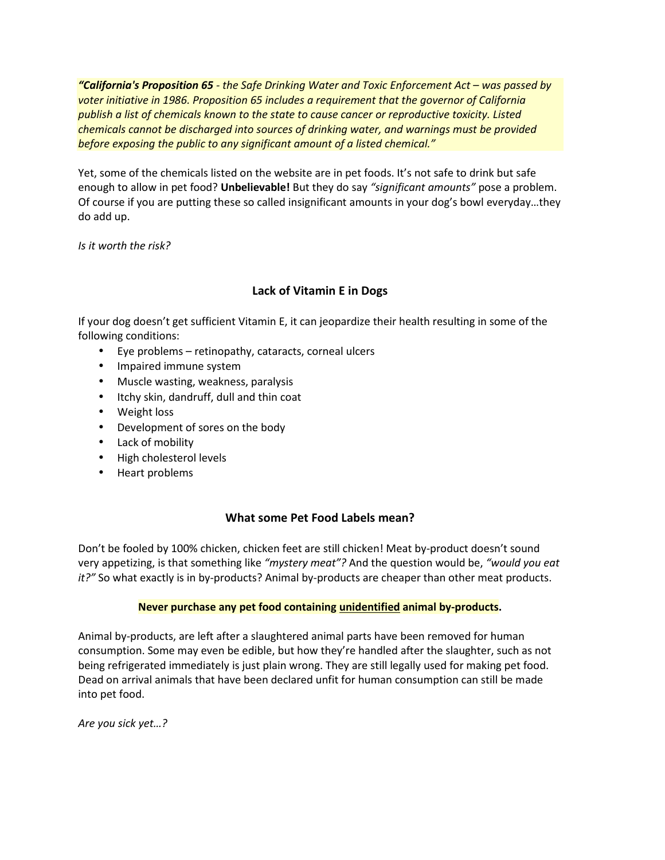*"California's Proposition 65 - the Safe Drinking Water and Toxic Enforcement Act – was passed by voter initiative in 1986. Proposition 65 includes a requirement that the governor of California publish a list of chemicals known to the state to cause cancer or reproductive toxicity. Listed chemicals cannot be discharged into sources of drinking water, and warnings must be provided before exposing the public to any significant amount of a listed chemical."* 

Yet, some of the chemicals listed on the website are in pet foods. It's not safe to drink but safe enough to allow in pet food? **Unbelievable!** But they do say *"significant amounts"* pose a problem. Of course if you are putting these so called insignificant amounts in your dog's bowl everyday…they do add up.

*Is it worth the risk?* 

## **Lack of Vitamin E in Dogs**

If your dog doesn't get sufficient Vitamin E, it can jeopardize their health resulting in some of the following conditions:

- Eye problems retinopathy, cataracts, corneal ulcers
- Impaired immune system
- Muscle wasting, weakness, paralysis
- Itchy skin, dandruff, dull and thin coat
- Weight loss
- Development of sores on the body
- Lack of mobility
- High cholesterol levels
- Heart problems

### **What some Pet Food Labels mean?**

Don't be fooled by 100% chicken, chicken feet are still chicken! Meat by-product doesn't sound very appetizing, is that something like *"mystery meat"?* And the question would be, *"would you eat it?"* So what exactly is in by-products? Animal by-products are cheaper than other meat products.

### **Never purchase any pet food containing unidentified animal by-products.**

Animal by-products, are left after a slaughtered animal parts have been removed for human consumption. Some may even be edible, but how they're handled after the slaughter, such as not being refrigerated immediately is just plain wrong. They are still legally used for making pet food. Dead on arrival animals that have been declared unfit for human consumption can still be made into pet food.

*Are you sick yet…?*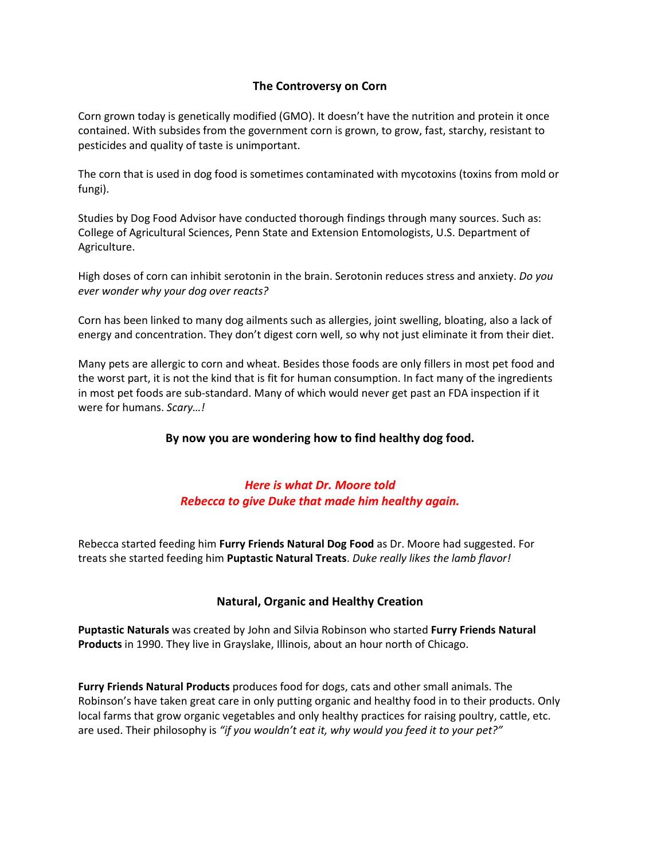### **The Controversy on Corn**

Corn grown today is genetically modified (GMO). It doesn't have the nutrition and protein it once contained. With subsides from the government corn is grown, to grow, fast, starchy, resistant to pesticides and quality of taste is unimportant.

The corn that is used in dog food is sometimes contaminated with mycotoxins (toxins from mold or fungi).

Studies by Dog Food Advisor have conducted thorough findings through many sources. Such as: College of Agricultural Sciences, Penn State and Extension Entomologists, U.S. Department of Agriculture.

High doses of corn can inhibit serotonin in the brain. Serotonin reduces stress and anxiety. *Do you ever wonder why your dog over reacts?*

Corn has been linked to many dog ailments such as allergies, joint swelling, bloating, also a lack of energy and concentration. They don't digest corn well, so why not just eliminate it from their diet.

Many pets are allergic to corn and wheat. Besides those foods are only fillers in most pet food and the worst part, it is not the kind that is fit for human consumption. In fact many of the ingredients in most pet foods are sub-standard. Many of which would never get past an FDA inspection if it were for humans. *Scary…!*

### **By now you are wondering how to find healthy dog food.**

## *Here is what Dr. Moore told Rebecca to give Duke that made him healthy again.*

Rebecca started feeding him **Furry Friends Natural Dog Food** as Dr. Moore had suggested. For treats she started feeding him **Puptastic Natural Treats**. *Duke really likes the lamb flavor!*

### **Natural, Organic and Healthy Creation**

**Puptastic Naturals** was created by John and Silvia Robinson who started **Furry Friends Natural Products** in 1990. They live in Grayslake, Illinois, about an hour north of Chicago.

**Furry Friends Natural Products** produces food for dogs, cats and other small animals. The Robinson's have taken great care in only putting organic and healthy food in to their products. Only local farms that grow organic vegetables and only healthy practices for raising poultry, cattle, etc. are used. Their philosophy is *"if you wouldn't eat it, why would you feed it to your pet?"*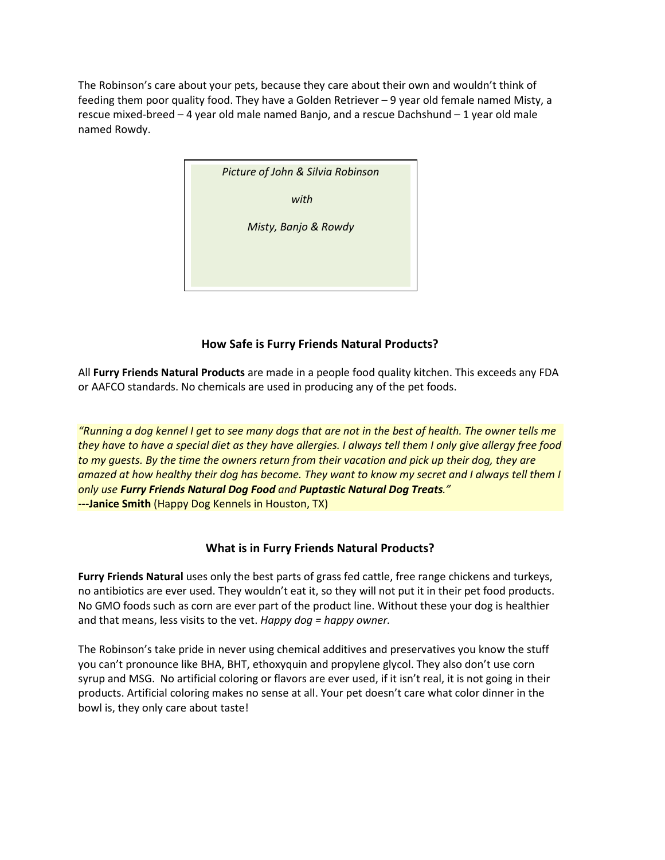The Robinson's care about your pets, because they care about their own and wouldn't think of feeding them poor quality food. They have a Golden Retriever – 9 year old female named Misty, a rescue mixed-breed – 4 year old male named Banjo, and a rescue Dachshund – 1 year old male named Rowdy.



## **How Safe is Furry Friends Natural Products?**

All **Furry Friends Natural Products** are made in a people food quality kitchen. This exceeds any FDA or AAFCO standards. No chemicals are used in producing any of the pet foods.

*"Running a dog kennel I get to see many dogs that are not in the best of health. The owner tells me they have to have a special diet as they have allergies. I always tell them I only give allergy free food to my guests. By the time the owners return from their vacation and pick up their dog, they are amazed at how healthy their dog has become. They want to know my secret and I always tell them I only use Furry Friends Natural Dog Food and Puptastic Natural Dog Treats."*  **---Janice Smith** (Happy Dog Kennels in Houston, TX)

### **What is in Furry Friends Natural Products?**

**Furry Friends Natural** uses only the best parts of grass fed cattle, free range chickens and turkeys, no antibiotics are ever used. They wouldn't eat it, so they will not put it in their pet food products. No GMO foods such as corn are ever part of the product line. Without these your dog is healthier and that means, less visits to the vet. *Happy dog = happy owner.*

The Robinson's take pride in never using chemical additives and preservatives you know the stuff you can't pronounce like BHA, BHT, ethoxyquin and propylene glycol. They also don't use corn syrup and MSG. No artificial coloring or flavors are ever used, if it isn't real, it is not going in their products. Artificial coloring makes no sense at all. Your pet doesn't care what color dinner in the bowl is, they only care about taste!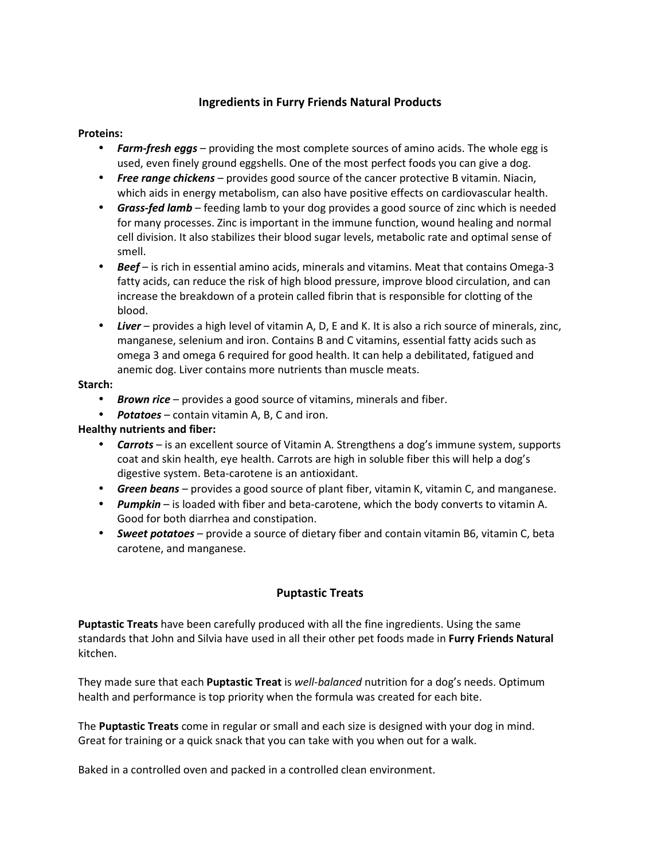#### **Ingredients in Furry Friends Natural Products**

#### **Proteins:**

- *Farm-fresh eggs* providing the most complete sources of amino acids. The whole egg is used, even finely ground eggshells. One of the most perfect foods you can give a dog.
- *Free range chickens* provides good source of the cancer protective B vitamin. Niacin, which aids in energy metabolism, can also have positive effects on cardiovascular health.
- *Grass-fed lamb* feeding lamb to your dog provides a good source of zinc which is needed for many processes. Zinc is important in the immune function, wound healing and normal cell division. It also stabilizes their blood sugar levels, metabolic rate and optimal sense of smell.
- *Beef* is rich in essential amino acids, minerals and vitamins. Meat that contains Omega-3 fatty acids, can reduce the risk of high blood pressure, improve blood circulation, and can increase the breakdown of a protein called fibrin that is responsible for clotting of the blood.
- *Liver* provides a high level of vitamin A, D, E and K. It is also a rich source of minerals, zinc, manganese, selenium and iron. Contains B and C vitamins, essential fatty acids such as omega 3 and omega 6 required for good health. It can help a debilitated, fatigued and anemic dog. Liver contains more nutrients than muscle meats.

#### **Starch:**

- *Brown rice* provides a good source of vitamins, minerals and fiber.
- *Potatoes* contain vitamin A, B, C and iron.

#### **Healthy nutrients and fiber:**

- *Carrots* is an excellent source of Vitamin A. Strengthens a dog's immune system, supports coat and skin health, eye health. Carrots are high in soluble fiber this will help a dog's digestive system. Beta-carotene is an antioxidant.
- *Green beans* provides a good source of plant fiber, vitamin K, vitamin C, and manganese.
- *Pumpkin* is loaded with fiber and beta-carotene, which the body converts to vitamin A. Good for both diarrhea and constipation.
- *Sweet potatoes* provide a source of dietary fiber and contain vitamin B6, vitamin C, beta carotene, and manganese.

#### **Puptastic Treats**

**Puptastic Treats** have been carefully produced with all the fine ingredients. Using the same standards that John and Silvia have used in all their other pet foods made in **Furry Friends Natural** kitchen.

They made sure that each **Puptastic Treat** is *well-balanced* nutrition for a dog's needs. Optimum health and performance is top priority when the formula was created for each bite.

The **Puptastic Treats** come in regular or small and each size is designed with your dog in mind. Great for training or a quick snack that you can take with you when out for a walk.

Baked in a controlled oven and packed in a controlled clean environment.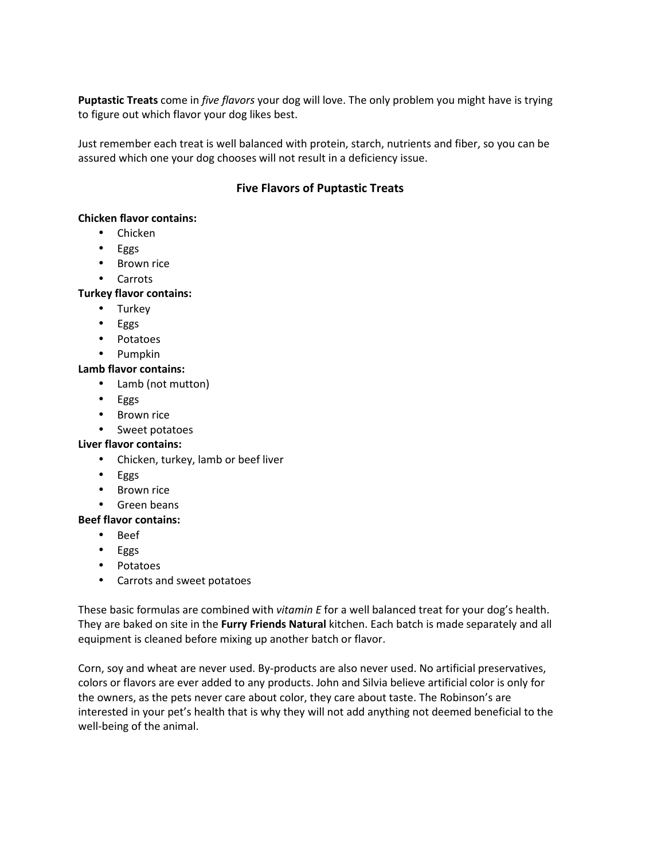**Puptastic Treats** come in *five flavors* your dog will love. The only problem you might have is trying to figure out which flavor your dog likes best.

Just remember each treat is well balanced with protein, starch, nutrients and fiber, so you can be assured which one your dog chooses will not result in a deficiency issue.

### **Five Flavors of Puptastic Treats**

#### **Chicken flavor contains:**

- Chicken
- Eggs
- Brown rice
- Carrots

#### **Turkey flavor contains:**

- Turkey
- Eggs
- Potatoes
- Pumpkin

#### **Lamb flavor contains:**

- Lamb (not mutton)
- Eggs
- Brown rice
- Sweet potatoes

#### **Liver flavor contains:**

- Chicken, turkey, lamb or beef liver
- Eggs
- Brown rice
- Green beans

#### **Beef flavor contains:**

- Beef
- Eggs
- Potatoes
- Carrots and sweet potatoes

These basic formulas are combined with *vitamin E* for a well balanced treat for your dog's health. They are baked on site in the **Furry Friends Natural** kitchen. Each batch is made separately and all equipment is cleaned before mixing up another batch or flavor.

Corn, soy and wheat are never used. By-products are also never used. No artificial preservatives, colors or flavors are ever added to any products. John and Silvia believe artificial color is only for the owners, as the pets never care about color, they care about taste. The Robinson's are interested in your pet's health that is why they will not add anything not deemed beneficial to the well-being of the animal.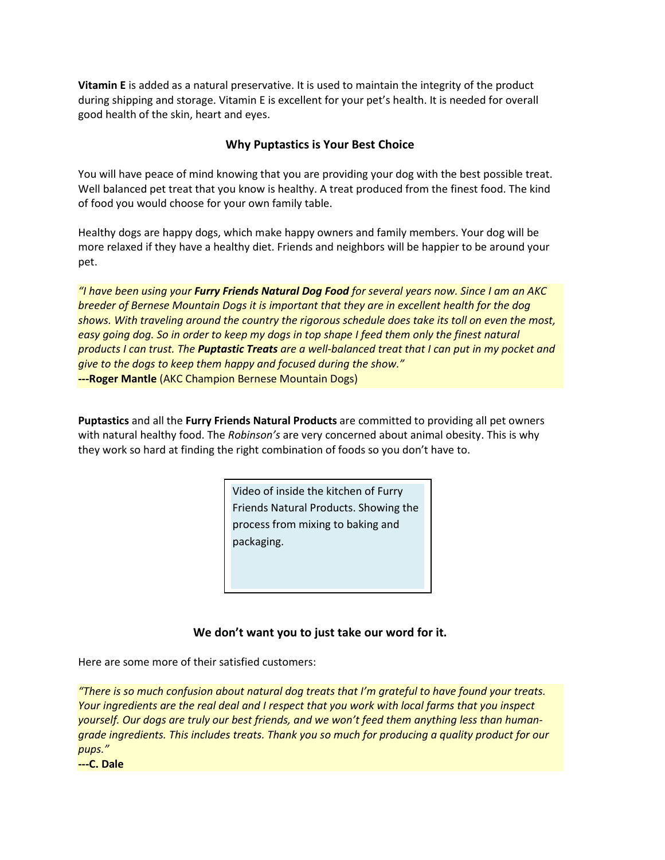**Vitamin E** is added as a natural preservative. It is used to maintain the integrity of the product during shipping and storage. Vitamin E is excellent for your pet's health. It is needed for overall good health of the skin, heart and eyes.

#### **Why Puptastics is Your Best Choice**

You will have peace of mind knowing that you are providing your dog with the best possible treat. Well balanced pet treat that you know is healthy. A treat produced from the finest food. The kind of food you would choose for your own family table.

Healthy dogs are happy dogs, which make happy owners and family members. Your dog will be more relaxed if they have a healthy diet. Friends and neighbors will be happier to be around your pet.

*"I have been using your Furry Friends Natural Dog Food for several years now. Since I am an AKC breeder of Bernese Mountain Dogs it is important that they are in excellent health for the dog shows. With traveling around the country the rigorous schedule does take its toll on even the most, easy going dog. So in order to keep my dogs in top shape I feed them only the finest natural products I can trust. The Puptastic Treats are a well-balanced treat that I can put in my pocket and give to the dogs to keep them happy and focused during the show."* **---Roger Mantle** (AKC Champion Bernese Mountain Dogs)

**Puptastics** and all the **Furry Friends Natural Products** are committed to providing all pet owners with natural healthy food. The *Robinson's* are very concerned about animal obesity. This is why they work so hard at finding the right combination of foods so you don't have to.

> Video of inside the kitchen of Furry Friends Natural Products. Showing the process from mixing to baking and packaging.

## **We don't want you to just take our word for it.**

Here are some more of their satisfied customers:

*"There is so much confusion about natural dog treats that I'm grateful to have found your treats. Your ingredients are the real deal and I respect that you work with local farms that you inspect yourself. Our dogs are truly our best friends, and we won't feed them anything less than humangrade ingredients. This includes treats. Thank you so much for producing a quality product for our pups."* 

**---C. Dale**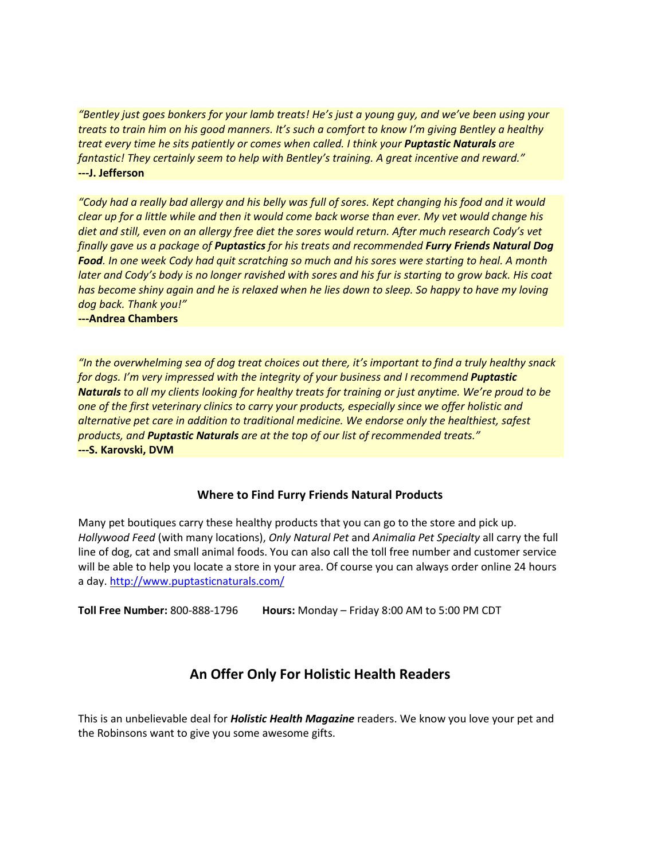*"Bentley just goes bonkers for your lamb treats! He's just a young guy, and we've been using your treats to train him on his good manners. It's such a comfort to know I'm giving Bentley a healthy treat every time he sits patiently or comes when called. I think your Puptastic Naturals are fantastic! They certainly seem to help with Bentley's training. A great incentive and reward."*  **---J. Jefferson** 

*"Cody had a really bad allergy and his belly was full of sores. Kept changing his food and it would clear up for a little while and then it would come back worse than ever. My vet would change his diet and still, even on an allergy free diet the sores would return. After much research Cody's vet finally gave us a package of Puptastics for his treats and recommended Furry Friends Natural Dog Food. In one week Cody had quit scratching so much and his sores were starting to heal. A month later and Cody's body is no longer ravished with sores and his fur is starting to grow back. His coat has become shiny again and he is relaxed when he lies down to sleep. So happy to have my loving dog back. Thank you!"* 

**---Andrea Chambers** 

*"In the overwhelming sea of dog treat choices out there, it's important to find a truly healthy snack for dogs. I'm very impressed with the integrity of your business and I recommend Puptastic Naturals to all my clients looking for healthy treats for training or just anytime. We're proud to be one of the first veterinary clinics to carry your products, especially since we offer holistic and alternative pet care in addition to traditional medicine. We endorse only the healthiest, safest products, and Puptastic Naturals are at the top of our list of recommended treats."* **---S. Karovski, DVM** 

#### **Where to Find Furry Friends Natural Products**

Many pet boutiques carry these healthy products that you can go to the store and pick up. *Hollywood Feed* (with many locations), *Only Natural Pet* and *Animalia Pet Specialty* all carry the full line of dog, cat and small animal foods. You can also call the toll free number and customer service will be able to help you locate a store in your area. Of course you can always order online 24 hours a day. http://www.puptasticnaturals.com/

**Toll Free Number:** 800-888-1796 **Hours:** Monday – Friday 8:00 AM to 5:00 PM CDT

# **An Offer Only For Holistic Health Readers**

This is an unbelievable deal for *Holistic Health Magazine* readers. We know you love your pet and the Robinsons want to give you some awesome gifts.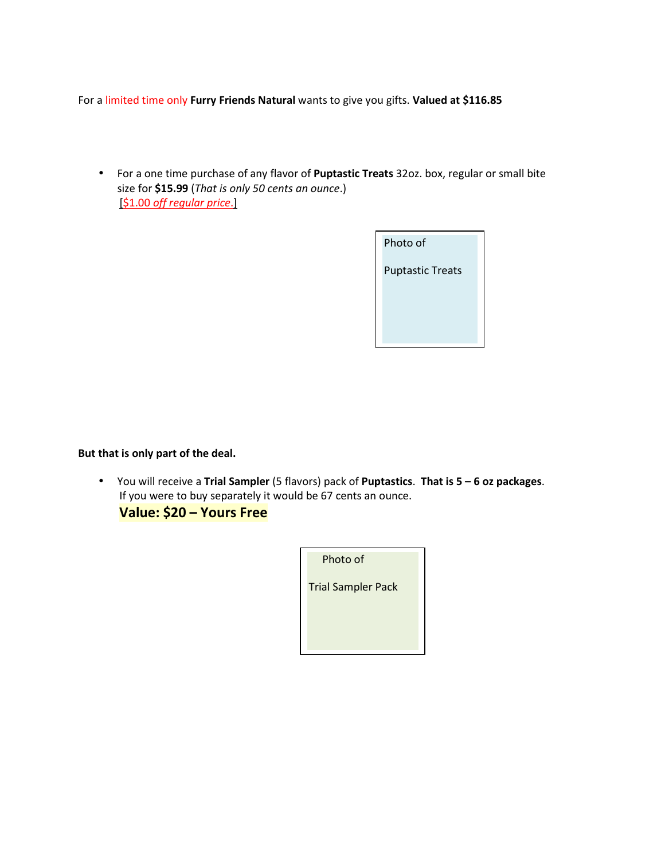For a limited time only **Furry Friends Natural** wants to give you gifts. **Valued at \$116.85** 

• For a one time purchase of any flavor of **Puptastic Treats** 32oz. box, regular or small bite size for **\$15.99** (*That is only 50 cents an ounce*.) [\$1.00 *off regular price*.]



**But that is only part of the deal.** 

• You will receive a **Trial Sampler** (5 flavors) pack of **Puptastics**. **That is 5 – 6 oz packages**. If you were to buy separately it would be 67 cents an ounce.

 **Value: \$20 – Yours Free**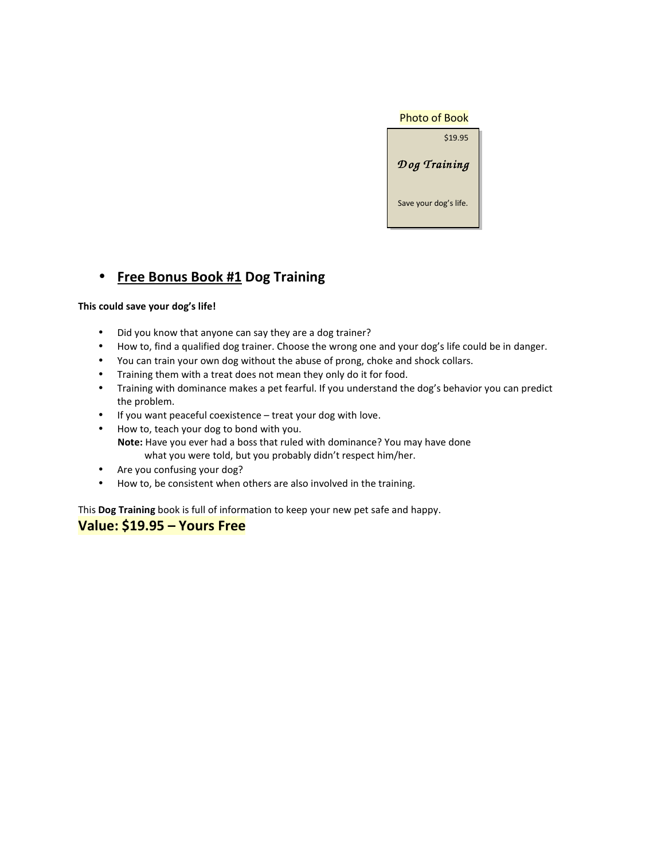

# • **Free Bonus Book #1 Dog Training**

#### **This could save your dog's life!**

- Did you know that anyone can say they are a dog trainer?
- How to, find a qualified dog trainer. Choose the wrong one and your dog's life could be in danger.
- You can train your own dog without the abuse of prong, choke and shock collars.
- Training them with a treat does not mean they only do it for food.
- Training with dominance makes a pet fearful. If you understand the dog's behavior you can predict the problem.
- If you want peaceful coexistence treat your dog with love.
- How to, teach your dog to bond with you. **Note:** Have you ever had a boss that ruled with dominance? You may have done what you were told, but you probably didn't respect him/her.
- Are you confusing your dog?
- How to, be consistent when others are also involved in the training.

This **Dog Training** book is full of information to keep your new pet safe and happy.

# **Value: \$19.95 – Yours Free**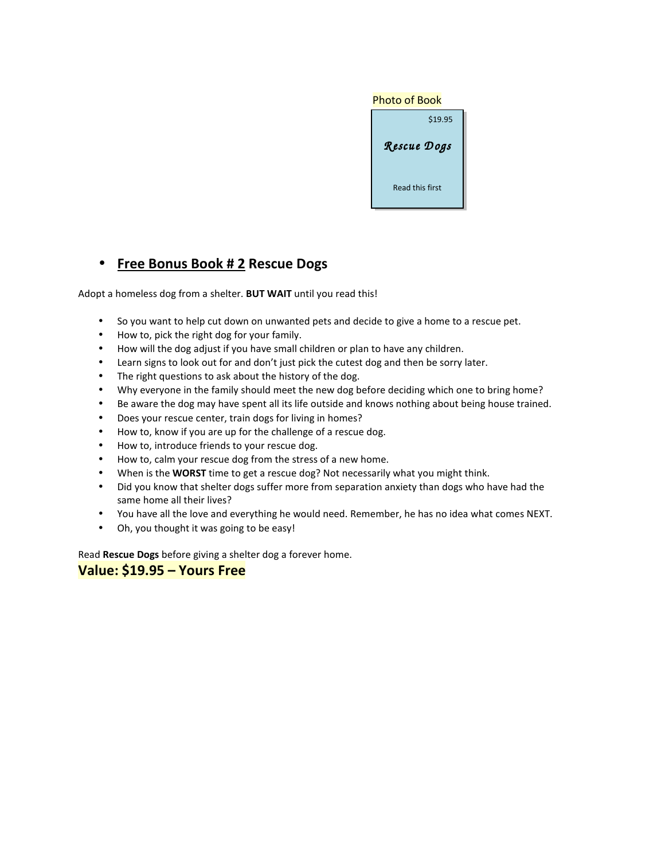| <b>Photo of Book</b> |
|----------------------|
| \$19.95              |
| Rescue Dogs          |
| Read this first      |

# • **Free Bonus Book # 2 Rescue Dogs**

Adopt a homeless dog from a shelter. **BUT WAIT** until you read this!

- So you want to help cut down on unwanted pets and decide to give a home to a rescue pet.
- How to, pick the right dog for your family.
- How will the dog adjust if you have small children or plan to have any children.
- Learn signs to look out for and don't just pick the cutest dog and then be sorry later.
- The right questions to ask about the history of the dog.
- Why everyone in the family should meet the new dog before deciding which one to bring home?
- Be aware the dog may have spent all its life outside and knows nothing about being house trained.
- Does your rescue center, train dogs for living in homes?
- How to, know if you are up for the challenge of a rescue dog.
- How to, introduce friends to your rescue dog.
- How to, calm your rescue dog from the stress of a new home.
- When is the **WORST** time to get a rescue dog? Not necessarily what you might think.
- Did you know that shelter dogs suffer more from separation anxiety than dogs who have had the same home all their lives?
- You have all the love and everything he would need. Remember, he has no idea what comes NEXT.
- Oh, you thought it was going to be easy!

Read **Rescue Dogs** before giving a shelter dog a forever home.

### **Value: \$19.95 – Yours Free**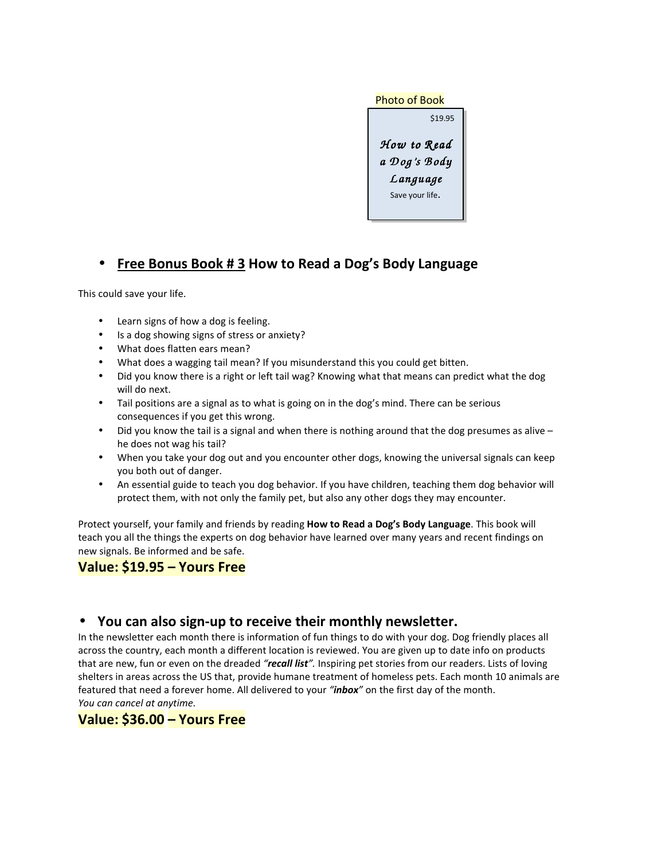

# • **Free Bonus Book # 3 How to Read a Dog's Body Language**

This could save your life.

- Learn signs of how a dog is feeling.
- Is a dog showing signs of stress or anxiety?
- What does flatten ears mean?
- What does a wagging tail mean? If you misunderstand this you could get bitten.
- Did you know there is a right or left tail wag? Knowing what that means can predict what the dog will do next.
- Tail positions are a signal as to what is going on in the dog's mind. There can be serious consequences if you get this wrong.
- Did you know the tail is a signal and when there is nothing around that the dog presumes as alive he does not wag his tail?
- When you take your dog out and you encounter other dogs, knowing the universal signals can keep you both out of danger.
- An essential guide to teach you dog behavior. If you have children, teaching them dog behavior will protect them, with not only the family pet, but also any other dogs they may encounter.

Protect yourself, your family and friends by reading **How to Read a Dog's Body Language**. This book will teach you all the things the experts on dog behavior have learned over many years and recent findings on new signals. Be informed and be safe.

# **Value: \$19.95 – Yours Free**

## • **You can also sign-up to receive their monthly newsletter.**

In the newsletter each month there is information of fun things to do with your dog. Dog friendly places all across the country, each month a different location is reviewed. You are given up to date info on products that are new, fun or even on the dreaded *"recall list".* Inspiring pet stories from our readers. Lists of loving shelters in areas across the US that, provide humane treatment of homeless pets. Each month 10 animals are featured that need a forever home. All delivered to your *"inbox"* on the first day of the month. *You can cancel at anytime.*

## **Value: \$36.00 – Yours Free**